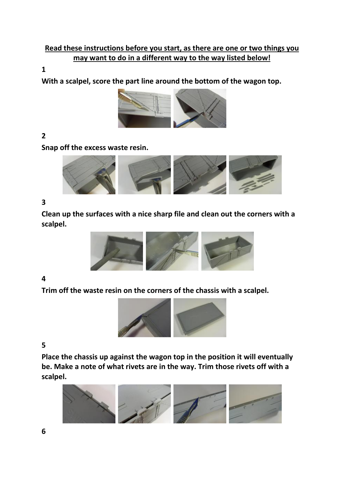# **Read these instructions before you start, as there are one or two things you may want to do in a different way to the way listed below!**

### **1**

**With a scalpel, score the part line around the bottom of the wagon top.**



**2** 

**Snap off the excess waste resin.**



#### **3**

**Clean up the surfaces with a nice sharp file and clean out the corners with a scalpel.**



#### **4**

**Trim off the waste resin on the corners of the chassis with a scalpel.**



**5** 

**Place the chassis up against the wagon top in the position it will eventually be. Make a note of what rivets are in the way. Trim those rivets off with a scalpel.**

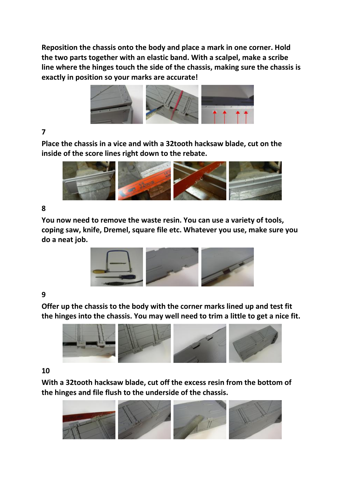**Reposition the chassis onto the body and place a mark in one corner. Hold the two parts together with an elastic band. With a scalpel, make a scribe line where the hinges touch the side of the chassis, making sure the chassis is exactly in position so your marks are accurate!**



# **7**

**Place the chassis in a vice and with a 32tooth hacksaw blade, cut on the inside of the score lines right down to the rebate.**



## **8**

**You now need to remove the waste resin. You can use a variety of tools, coping saw, knife, Dremel, square file etc. Whatever you use, make sure you do a neat job.**



## **9**

**Offer up the chassis to the body with the corner marks lined up and test fit the hinges into the chassis. You may well need to trim a little to get a nice fit.**



#### **10**

**With a 32tooth hacksaw blade, cut off the excess resin from the bottom of the hinges and file flush to the underside of the chassis.**

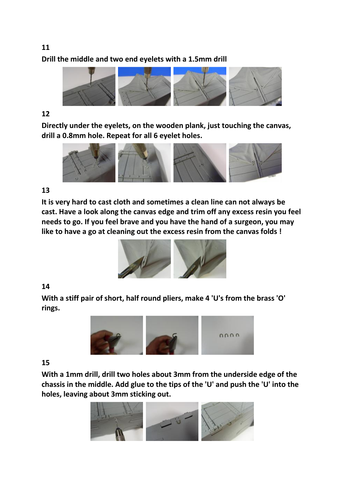# **11 Drill the middle and two end eyelets with a 1.5mm drill**



## **12**

**Directly under the eyelets, on the wooden plank, just touching the canvas, drill a 0.8mm hole. Repeat for all 6 eyelet holes.**



## **13**

**It is very hard to cast cloth and sometimes a clean line can not always be cast. Have a look along the canvas edge and trim off any excess resin you feel needs to go. If you feel brave and you have the hand of a surgeon, you may like to have a go at cleaning out the excess resin from the canvas folds !**



# **14**

**With a stiff pair of short, half round pliers, make 4 'U's from the brass 'O' rings.**



# **15**

**With a 1mm drill, drill two holes about 3mm from the underside edge of the chassis in the middle. Add glue to the tips of the 'U' and push the 'U' into the holes, leaving about 3mm sticking out.**

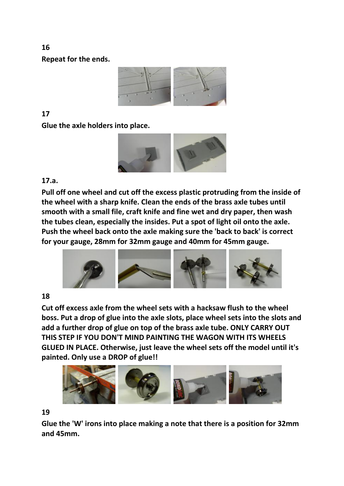**Repeat for the ends.**



# **17**

**Glue the axle holders into place.**



## **17.a.**

**Pull off one wheel and cut off the excess plastic protruding from the inside of the wheel with a sharp knife. Clean the ends of the brass axle tubes until smooth with a small file, craft knife and fine wet and dry paper, then wash the tubes clean, especially the insides. Put a spot of light oil onto the axle. Push the wheel back onto the axle making sure the 'back to back' is correct for your gauge, 28mm for 32mm gauge and 40mm for 45mm gauge.**



## **18**

**Cut off excess axle from the wheel sets with a hacksaw flush to the wheel boss. Put a drop of glue into the axle slots, place wheel sets into the slots and add a further drop of glue on top of the brass axle tube. ONLY CARRY OUT THIS STEP IF YOU DON'T MIND PAINTING THE WAGON WITH ITS WHEELS GLUED IN PLACE. Otherwise, just leave the wheel sets off the model until it's painted. Only use a DROP of glue!!**



#### **19**

**Glue the 'W' irons into place making a note that there is a position for 32mm and 45mm.**

**16**